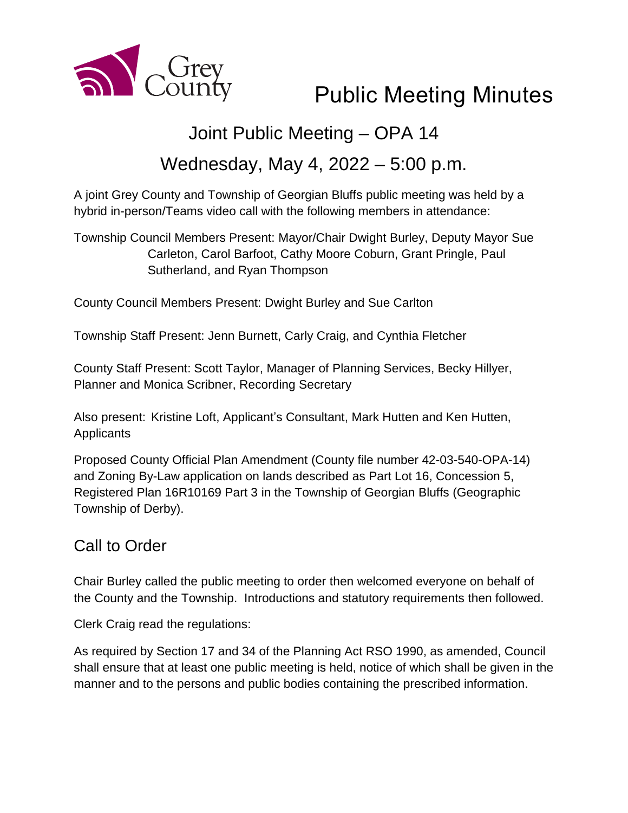

# Public Meeting Minutes

## Joint Public Meeting – OPA 14

## Wednesday, May 4, 2022 – 5:00 p.m.

A joint Grey County and Township of Georgian Bluffs public meeting was held by a hybrid in-person/Teams video call with the following members in attendance:

Township Council Members Present: Mayor/Chair Dwight Burley, Deputy Mayor Sue Carleton, Carol Barfoot, Cathy Moore Coburn, Grant Pringle, Paul Sutherland, and Ryan Thompson

County Council Members Present: Dwight Burley and Sue Carlton

Township Staff Present: Jenn Burnett, Carly Craig, and Cynthia Fletcher

County Staff Present: Scott Taylor, Manager of Planning Services, Becky Hillyer, Planner and Monica Scribner, Recording Secretary

Also present: Kristine Loft, Applicant's Consultant, Mark Hutten and Ken Hutten, Applicants

Proposed County Official Plan Amendment (County file number 42-03-540-OPA-14) and Zoning By-Law application on lands described as Part Lot 16, Concession 5, Registered Plan 16R10169 Part 3 in the Township of Georgian Bluffs (Geographic Township of Derby).

## Call to Order

Chair Burley called the public meeting to order then welcomed everyone on behalf of the County and the Township. Introductions and statutory requirements then followed.

Clerk Craig read the regulations:

As required by Section 17 and 34 of the Planning Act RSO 1990, as amended, Council shall ensure that at least one public meeting is held, notice of which shall be given in the manner and to the persons and public bodies containing the prescribed information.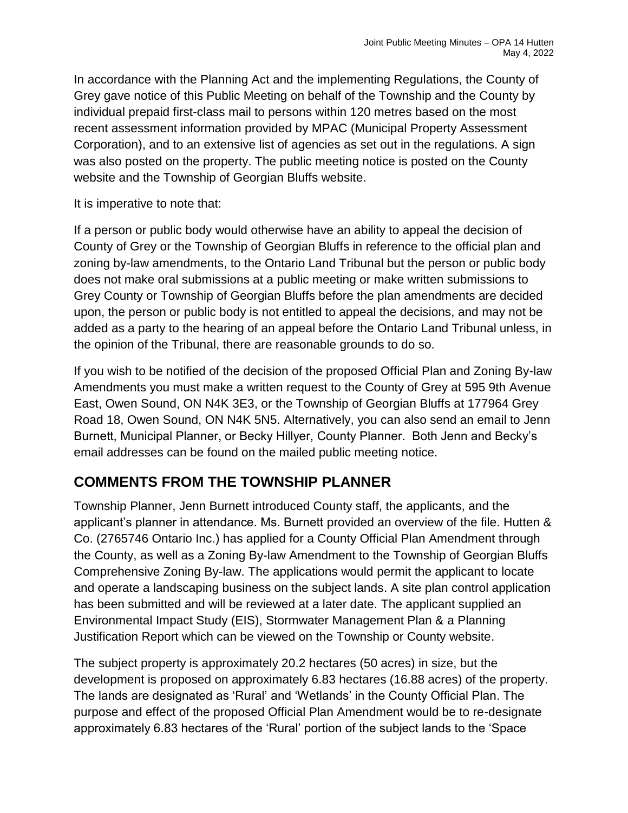In accordance with the Planning Act and the implementing Regulations, the County of Grey gave notice of this Public Meeting on behalf of the Township and the County by individual prepaid first-class mail to persons within 120 metres based on the most recent assessment information provided by MPAC (Municipal Property Assessment Corporation), and to an extensive list of agencies as set out in the regulations. A sign was also posted on the property. The public meeting notice is posted on the County website and the Township of Georgian Bluffs website.

It is imperative to note that:

If a person or public body would otherwise have an ability to appeal the decision of County of Grey or the Township of Georgian Bluffs in reference to the official plan and zoning by-law amendments, to the Ontario Land Tribunal but the person or public body does not make oral submissions at a public meeting or make written submissions to Grey County or Township of Georgian Bluffs before the plan amendments are decided upon, the person or public body is not entitled to appeal the decisions, and may not be added as a party to the hearing of an appeal before the Ontario Land Tribunal unless, in the opinion of the Tribunal, there are reasonable grounds to do so.

If you wish to be notified of the decision of the proposed Official Plan and Zoning By-law Amendments you must make a written request to the County of Grey at 595 9th Avenue East, Owen Sound, ON N4K 3E3, or the Township of Georgian Bluffs at 177964 Grey Road 18, Owen Sound, ON N4K 5N5. Alternatively, you can also send an email to Jenn Burnett, Municipal Planner, or Becky Hillyer, County Planner. Both Jenn and Becky's email addresses can be found on the mailed public meeting notice.

## **COMMENTS FROM THE TOWNSHIP PLANNER**

Township Planner, Jenn Burnett introduced County staff, the applicants, and the applicant's planner in attendance. Ms. Burnett provided an overview of the file. Hutten & Co. (2765746 Ontario Inc.) has applied for a County Official Plan Amendment through the County, as well as a Zoning By-law Amendment to the Township of Georgian Bluffs Comprehensive Zoning By-law. The applications would permit the applicant to locate and operate a landscaping business on the subject lands. A site plan control application has been submitted and will be reviewed at a later date. The applicant supplied an Environmental Impact Study (EIS), Stormwater Management Plan & a Planning Justification Report which can be viewed on the Township or County website.

The subject property is approximately 20.2 hectares (50 acres) in size, but the development is proposed on approximately 6.83 hectares (16.88 acres) of the property. The lands are designated as 'Rural' and 'Wetlands' in the County Official Plan. The purpose and effect of the proposed Official Plan Amendment would be to re-designate approximately 6.83 hectares of the 'Rural' portion of the subject lands to the 'Space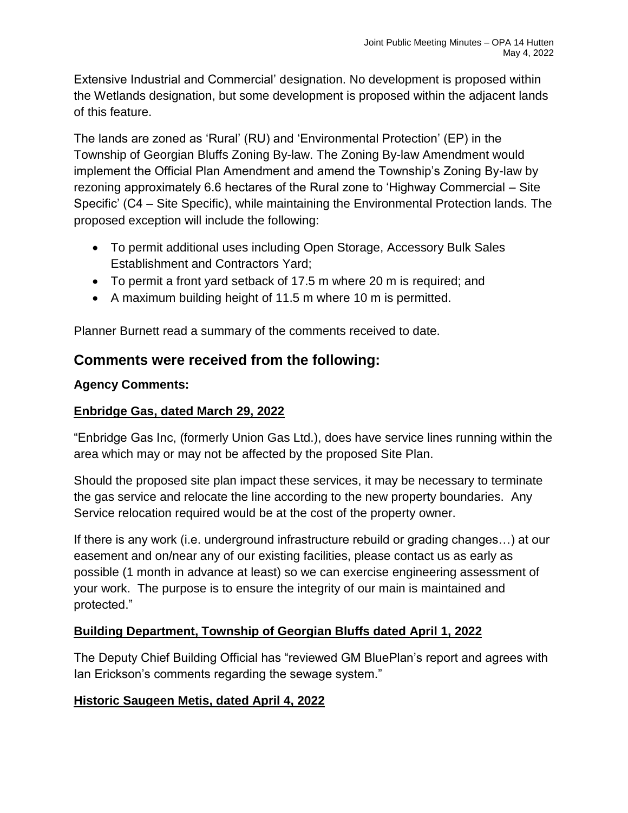Extensive Industrial and Commercial' designation. No development is proposed within the Wetlands designation, but some development is proposed within the adjacent lands of this feature.

The lands are zoned as 'Rural' (RU) and 'Environmental Protection' (EP) in the Township of Georgian Bluffs Zoning By-law. The Zoning By-law Amendment would implement the Official Plan Amendment and amend the Township's Zoning By-law by rezoning approximately 6.6 hectares of the Rural zone to 'Highway Commercial – Site Specific' (C4 – Site Specific), while maintaining the Environmental Protection lands. The proposed exception will include the following:

- To permit additional uses including Open Storage, Accessory Bulk Sales Establishment and Contractors Yard;
- To permit a front yard setback of 17.5 m where 20 m is required; and
- A maximum building height of 11.5 m where 10 m is permitted.

Planner Burnett read a summary of the comments received to date.

## **Comments were received from the following:**

#### **Agency Comments:**

#### **Enbridge Gas, dated March 29, 2022**

"Enbridge Gas Inc, (formerly Union Gas Ltd.), does have service lines running within the area which may or may not be affected by the proposed Site Plan.

Should the proposed site plan impact these services, it may be necessary to terminate the gas service and relocate the line according to the new property boundaries. Any Service relocation required would be at the cost of the property owner.

If there is any work (i.e. underground infrastructure rebuild or grading changes…) at our easement and on/near any of our existing facilities, please contact us as early as possible (1 month in advance at least) so we can exercise engineering assessment of your work. The purpose is to ensure the integrity of our main is maintained and protected."

#### **Building Department, Township of Georgian Bluffs dated April 1, 2022**

The Deputy Chief Building Official has "reviewed GM BluePlan's report and agrees with Ian Erickson's comments regarding the sewage system."

#### **Historic Saugeen Metis, dated April 4, 2022**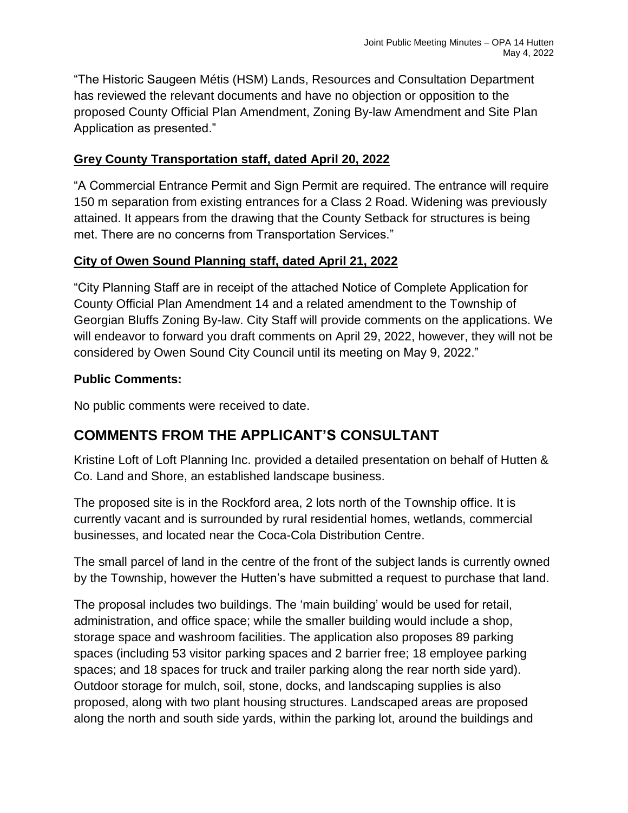"The Historic Saugeen Métis (HSM) Lands, Resources and Consultation Department has reviewed the relevant documents and have no objection or opposition to the proposed County Official Plan Amendment, Zoning By-law Amendment and Site Plan Application as presented."

#### **Grey County Transportation staff, dated April 20, 2022**

"A Commercial Entrance Permit and Sign Permit are required. The entrance will require 150 m separation from existing entrances for a Class 2 Road. Widening was previously attained. It appears from the drawing that the County Setback for structures is being met. There are no concerns from Transportation Services."

#### **City of Owen Sound Planning staff, dated April 21, 2022**

"City Planning Staff are in receipt of the attached Notice of Complete Application for County Official Plan Amendment 14 and a related amendment to the Township of Georgian Bluffs Zoning By-law. City Staff will provide comments on the applications. We will endeavor to forward you draft comments on April 29, 2022, however, they will not be considered by Owen Sound City Council until its meeting on May 9, 2022."

#### **Public Comments:**

No public comments were received to date.

## **COMMENTS FROM THE APPLICANT'S CONSULTANT**

Kristine Loft of Loft Planning Inc. provided a detailed presentation on behalf of Hutten & Co. Land and Shore, an established landscape business.

The proposed site is in the Rockford area, 2 lots north of the Township office. It is currently vacant and is surrounded by rural residential homes, wetlands, commercial businesses, and located near the Coca-Cola Distribution Centre.

The small parcel of land in the centre of the front of the subject lands is currently owned by the Township, however the Hutten's have submitted a request to purchase that land.

The proposal includes two buildings. The 'main building' would be used for retail, administration, and office space; while the smaller building would include a shop, storage space and washroom facilities. The application also proposes 89 parking spaces (including 53 visitor parking spaces and 2 barrier free; 18 employee parking spaces; and 18 spaces for truck and trailer parking along the rear north side yard). Outdoor storage for mulch, soil, stone, docks, and landscaping supplies is also proposed, along with two plant housing structures. Landscaped areas are proposed along the north and south side yards, within the parking lot, around the buildings and